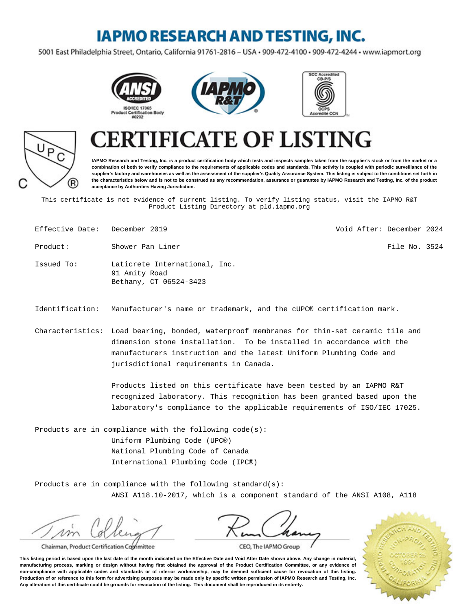### **IAPMO RESEARCH AND TESTING, INC.**

5001 East Philadelphia Street, Ontario, California 91761-2816 - USA · 909-472-4100 · 909-472-4244 · www.iapmort.org







# P R)

## **FICATE OF LISTING**

**IAPMO Research and Testing, Inc. is a product certification body which tests and inspects samples taken from the supplier's stock or from the market or a combination of both to verify compliance to the requirements of applicable codes and standards. This activity is coupled with periodic surveillance of the supplier's factory and warehouses as well as the assessment of the supplier's Quality Assurance System. This listing is subject to the conditions set forth in the characteristics below and is not to be construed as any recommendation, assurance or guarantee by IAPMO Research and Testing, Inc. of the product acceptance by Authorities Having Jurisdiction.**

This certificate is not evidence of current listing. To verify listing status, visit the IAPMO R&T Product Listing Directory at pld.iapmo.org

- Effective Date: December 2019 Void After: December 2024
- Product: Shower Pan Liner File No. 3524
- Issued To: Laticrete International, Inc. 91 Amity Road Bethany, CT 06524-3423
- Identification: Manufacturer's name or trademark, and the cUPC® certification mark.
- Characteristics: Load bearing, bonded, waterproof membranes for thin-set ceramic tile and dimension stone installation. To be installed in accordance with the manufacturers instruction and the latest Uniform Plumbing Code and jurisdictional requirements in Canada.

Products listed on this certificate have been tested by an IAPMO R&T recognized laboratory. This recognition has been granted based upon the laboratory's compliance to the applicable requirements of ISO/IEC 17025.

Products are in compliance with the following code(s): Uniform Plumbing Code (UPC®) National Plumbing Code of Canada International Plumbing Code (IPC®)

Products are in compliance with the following standard(s): ANSI A118.10-2017, which is a component standard of the ANSI A108, A118

m

Chairman, Product Certification Committee



CEO, The IAPMO Group

**This listing period is based upon the last date of the month indicated on the Effective Date and Void After Date shown above. Any change in material, manufacturing process, marking or design without having first obtained the approval of the Product Certification Committee, or any evidence of non-compliance with applicable codes and standards or of inferior workmanship, may be deemed sufficient cause for revocation of this listing. Production of or reference to this form for advertising purposes may be made only by specific written permission of IAPMO Research and Testing, Inc. Any alteration of this certificate could be grounds for revocation of the listing. This document shall be reproduced in its entirety.**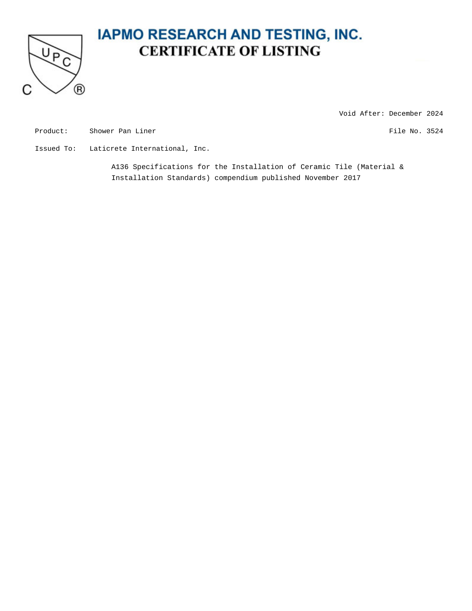

### **IAPMO RESEARCH AND TESTING, INC. CERTIFICATE OF LISTING**

Void After: December 2024

Product: Shower Pan Liner File No. 3524

Issued To: Laticrete International, Inc.

A136 Specifications for the Installation of Ceramic Tile (Material & Installation Standards) compendium published November 2017